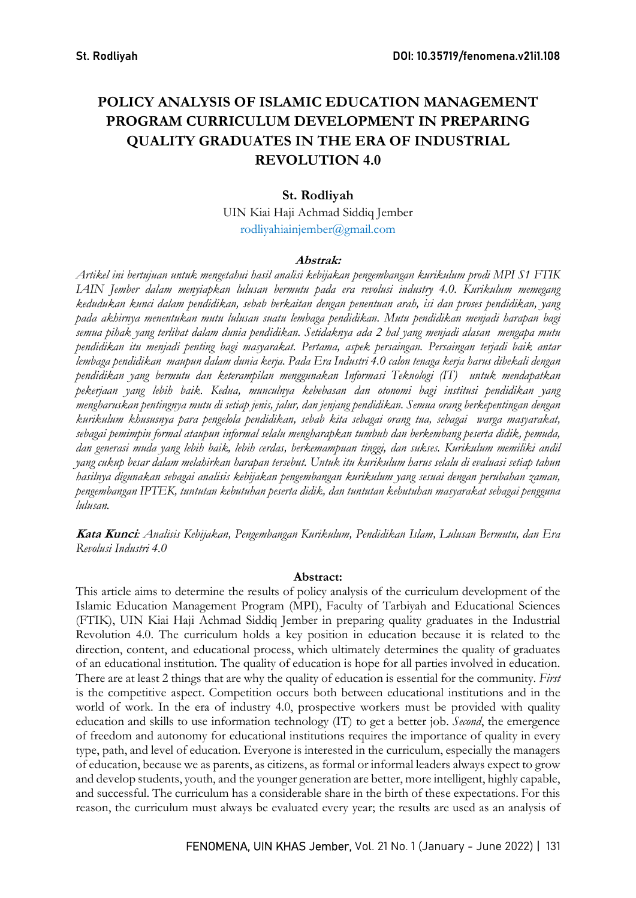# POLICY ANALYSIS OF ISLAMIC EDUCATION MANAGEMENT PROGRAM CURRICULUM DEVELOPMENT IN PREPARING QUALITY GRADUATES IN THE ERA OF INDUSTRIAL REVOLUTION 4.0

## St. Rodliyah

UIN Kiai Haji Achmad Siddiq Jember rodliyahiainjember@gmail.com

### Abstrak:

Artikel ini bertujuan untuk mengetahui hasil analisi kebijakan pengembangan kurikulum prodi MPI S1 FTIK IAIN Jember dalam menyiapkan lulusan bermutu pada era revolusi industry 4.0. Kurikulum memegang kedudukan kunci dalam pendidikan, sebab berkaitan dengan penentuan arah, isi dan proses pendidikan, yang pada akhirnya menentukan mutu lulusan suatu lembaga pendidikan. Mutu pendidikan menjadi harapan bagi semua pihak yang terlibat dalam dunia pendidikan. Setidaknya ada 2 hal yang menjadi alasan mengapa mutu pendidikan itu menjadi penting bagi masyarakat. Pertama, aspek persaingan. Persaingan terjadi baik antar lembaga pendidikan maupun dalam dunia kerja. Pada Era Industri 4.0 calon tenaga kerja harus dibekali dengan pendidikan yang bermutu dan keterampilan menggunakan Informasi Teknologi (IT) untuk mendapatkan pekerjaan yang lebih baik. Kedua, munculnya kebebasan dan otonomi bagi institusi pendidikan yang mengharuskan pentingnya mutu di setiap jenis, jalur, dan jenjang pendidikan. Semua orang berkepentingan dengan kurikulum khususnya para pengelola pendidikan, sebab kita sebagai orang tua, sebagai warga masyarakat, sebagai pemimpin formal ataupun informal selalu mengharapkan tumbuh dan berkembang peserta didik, pemuda, dan generasi muda yang lebih baik, lebih cerdas, berkemampuan tinggi, dan sukses. Kurikulum memiliki andil yang cukup besar dalam melahirkan harapan tersebut. Untuk itu kurikulum harus selalu di evaluasi setiap tahun hasilnya digunakan sebagai analisis kebijakan pengembangan kurikulum yang sesuai dengan perubahan zaman, pengembangan IPTEK, tuntutan kebutuhan peserta didik, dan tuntutan kebutuhan masyarakat sebagai pengguna lulusan.

Kata Kunci: Analisis Kebijakan, Pengembangan Kurikulum, Pendidikan Islam, Lulusan Bermutu, dan Era Revolusi Industri 4.0

### Abstract:

This article aims to determine the results of policy analysis of the curriculum development of the Islamic Education Management Program (MPI), Faculty of Tarbiyah and Educational Sciences (FTIK), UIN Kiai Haji Achmad Siddiq Jember in preparing quality graduates in the Industrial Revolution 4.0. The curriculum holds a key position in education because it is related to the direction, content, and educational process, which ultimately determines the quality of graduates of an educational institution. The quality of education is hope for all parties involved in education. There are at least 2 things that are why the quality of education is essential for the community. First is the competitive aspect. Competition occurs both between educational institutions and in the world of work. In the era of industry 4.0, prospective workers must be provided with quality education and skills to use information technology (IT) to get a better job. Second, the emergence of freedom and autonomy for educational institutions requires the importance of quality in every type, path, and level of education. Everyone is interested in the curriculum, especially the managers of education, because we as parents, as citizens, as formal or informal leaders always expect to grow and develop students, youth, and the younger generation are better, more intelligent, highly capable, and successful. The curriculum has a considerable share in the birth of these expectations. For this reason, the curriculum must always be evaluated every year; the results are used as an analysis of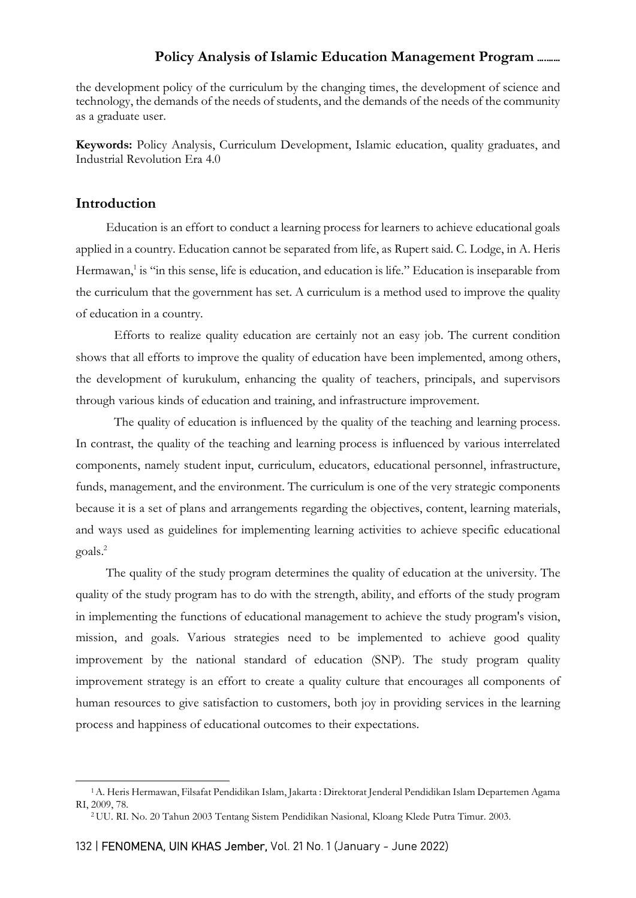the development policy of the curriculum by the changing times, the development of science and technology, the demands of the needs of students, and the demands of the needs of the community as a graduate user.

Keywords: Policy Analysis, Curriculum Development, Islamic education, quality graduates, and Industrial Revolution Era 4.0

## Introduction

Education is an effort to conduct a learning process for learners to achieve educational goals applied in a country. Education cannot be separated from life, as Rupert said. C. Lodge, in A. Heris Hermawan,<sup>1</sup> is "in this sense, life is education, and education is life." Education is inseparable from the curriculum that the government has set. A curriculum is a method used to improve the quality of education in a country.

Efforts to realize quality education are certainly not an easy job. The current condition shows that all efforts to improve the quality of education have been implemented, among others, the development of kurukulum, enhancing the quality of teachers, principals, and supervisors through various kinds of education and training, and infrastructure improvement.

The quality of education is influenced by the quality of the teaching and learning process. In contrast, the quality of the teaching and learning process is influenced by various interrelated components, namely student input, curriculum, educators, educational personnel, infrastructure, funds, management, and the environment. The curriculum is one of the very strategic components because it is a set of plans and arrangements regarding the objectives, content, learning materials, and ways used as guidelines for implementing learning activities to achieve specific educational goals.<sup>2</sup>

The quality of the study program determines the quality of education at the university. The quality of the study program has to do with the strength, ability, and efforts of the study program in implementing the functions of educational management to achieve the study program's vision, mission, and goals. Various strategies need to be implemented to achieve good quality improvement by the national standard of education (SNP). The study program quality improvement strategy is an effort to create a quality culture that encourages all components of human resources to give satisfaction to customers, both joy in providing services in the learning process and happiness of educational outcomes to their expectations.

<sup>1</sup>A. Heris Hermawan, Filsafat Pendidikan Islam, Jakarta : Direktorat Jenderal Pendidikan Islam Departemen Agama RI, 2009, 78.

<sup>2</sup> UU. RI. No. 20 Tahun 2003 Tentang Sistem Pendidikan Nasional, Kloang Klede Putra Timur. 2003.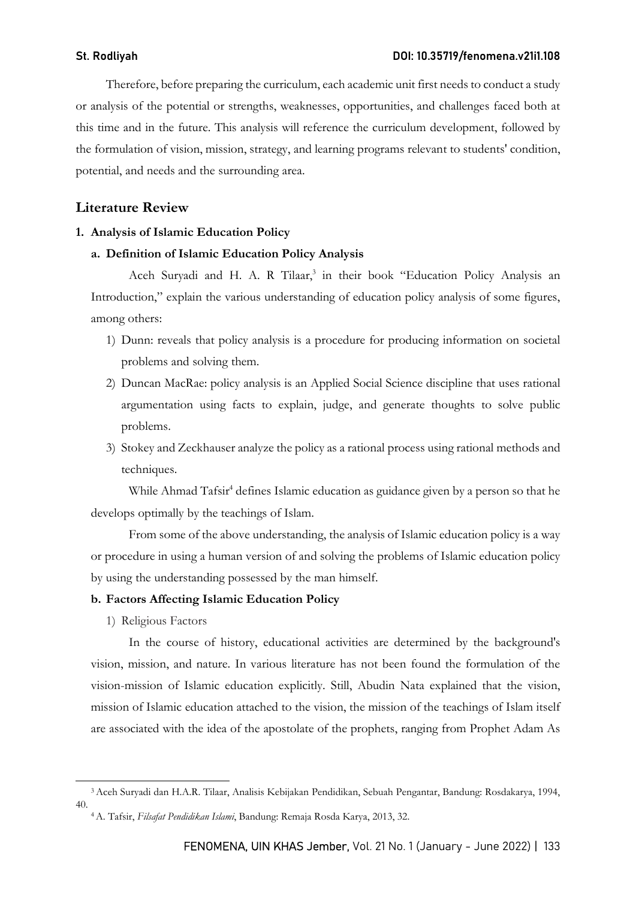Therefore, before preparing the curriculum, each academic unit first needs to conduct a study or analysis of the potential or strengths, weaknesses, opportunities, and challenges faced both at this time and in the future. This analysis will reference the curriculum development, followed by the formulation of vision, mission, strategy, and learning programs relevant to students' condition, potential, and needs and the surrounding area.

## Literature Review

### 1. Analysis of Islamic Education Policy

### a. Definition of Islamic Education Policy Analysis

Aceh Suryadi and H. A. R Tilaar,<sup>3</sup> in their book "Education Policy Analysis an Introduction," explain the various understanding of education policy analysis of some figures, among others:

- 1) Dunn: reveals that policy analysis is a procedure for producing information on societal problems and solving them.
- 2) Duncan MacRae: policy analysis is an Applied Social Science discipline that uses rational argumentation using facts to explain, judge, and generate thoughts to solve public problems.
- 3) Stokey and Zeckhauser analyze the policy as a rational process using rational methods and techniques.

While Ahmad Tafsir<sup>4</sup> defines Islamic education as guidance given by a person so that he develops optimally by the teachings of Islam.

From some of the above understanding, the analysis of Islamic education policy is a way or procedure in using a human version of and solving the problems of Islamic education policy by using the understanding possessed by the man himself.

### b. Factors Affecting Islamic Education Policy

1) Religious Factors

In the course of history, educational activities are determined by the background's vision, mission, and nature. In various literature has not been found the formulation of the vision-mission of Islamic education explicitly. Still, Abudin Nata explained that the vision, mission of Islamic education attached to the vision, the mission of the teachings of Islam itself are associated with the idea of the apostolate of the prophets, ranging from Prophet Adam As

<sup>3</sup>Aceh Suryadi dan H.A.R. Tilaar, Analisis Kebijakan Pendidikan, Sebuah Pengantar, Bandung: Rosdakarya, 1994, 40.

<sup>4</sup> A. Tafsir, Filsafat Pendidikan Islami, Bandung: Remaja Rosda Karya, 2013, 32.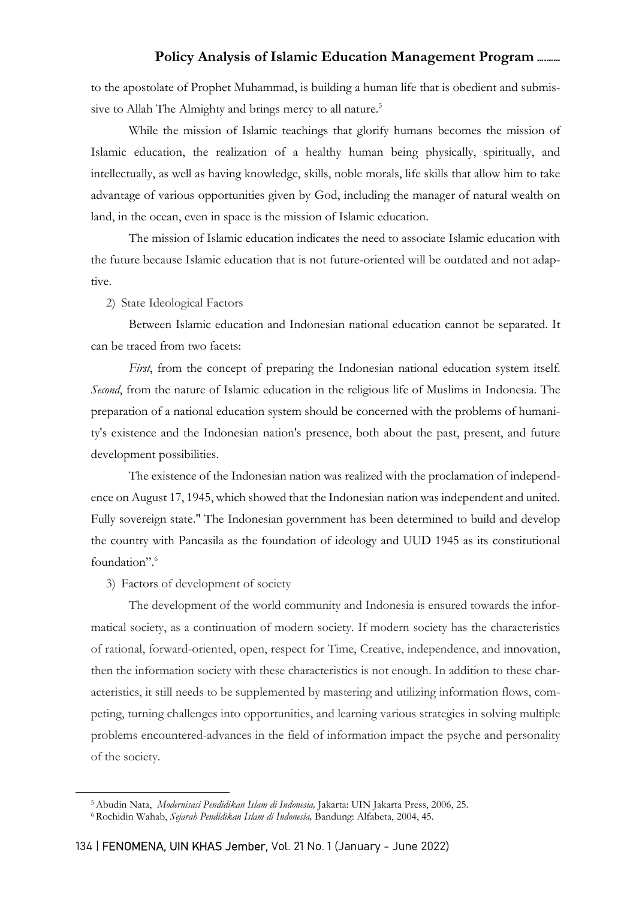to the apostolate of Prophet Muhammad, is building a human life that is obedient and submissive to Allah The Almighty and brings mercy to all nature.<sup>5</sup>

While the mission of Islamic teachings that glorify humans becomes the mission of Islamic education, the realization of a healthy human being physically, spiritually, and intellectually, as well as having knowledge, skills, noble morals, life skills that allow him to take advantage of various opportunities given by God, including the manager of natural wealth on land, in the ocean, even in space is the mission of Islamic education.

The mission of Islamic education indicates the need to associate Islamic education with the future because Islamic education that is not future-oriented will be outdated and not adaptive.

2) State Ideological Factors

Between Islamic education and Indonesian national education cannot be separated. It can be traced from two facets:

First, from the concept of preparing the Indonesian national education system itself. Second, from the nature of Islamic education in the religious life of Muslims in Indonesia. The preparation of a national education system should be concerned with the problems of humanity's existence and the Indonesian nation's presence, both about the past, present, and future development possibilities.

The existence of the Indonesian nation was realized with the proclamation of independence on August 17, 1945, which showed that the Indonesian nation was independent and united. Fully sovereign state." The Indonesian government has been determined to build and develop the country with Pancasila as the foundation of ideology and UUD 1945 as its constitutional foundation".<sup>6</sup>

### 3) Factors of development of society

The development of the world community and Indonesia is ensured towards the informatical society, as a continuation of modern society. If modern society has the characteristics of rational, forward-oriented, open, respect for Time, Creative, independence, and innovation, then the information society with these characteristics is not enough. In addition to these characteristics, it still needs to be supplemented by mastering and utilizing information flows, competing, turning challenges into opportunities, and learning various strategies in solving multiple problems encountered-advances in the field of information impact the psyche and personality of the society.

<sup>&</sup>lt;sup>5</sup> Abudin Nata, *Modernisasi Pendidikan Islam di Indonesia*, Jakarta: UIN Jakarta Press, 2006, 25.

<sup>6</sup> Rochidin Wahab, Sejarah Pendidikan Islam di Indonesia, Bandung: Alfabeta, 2004, 45.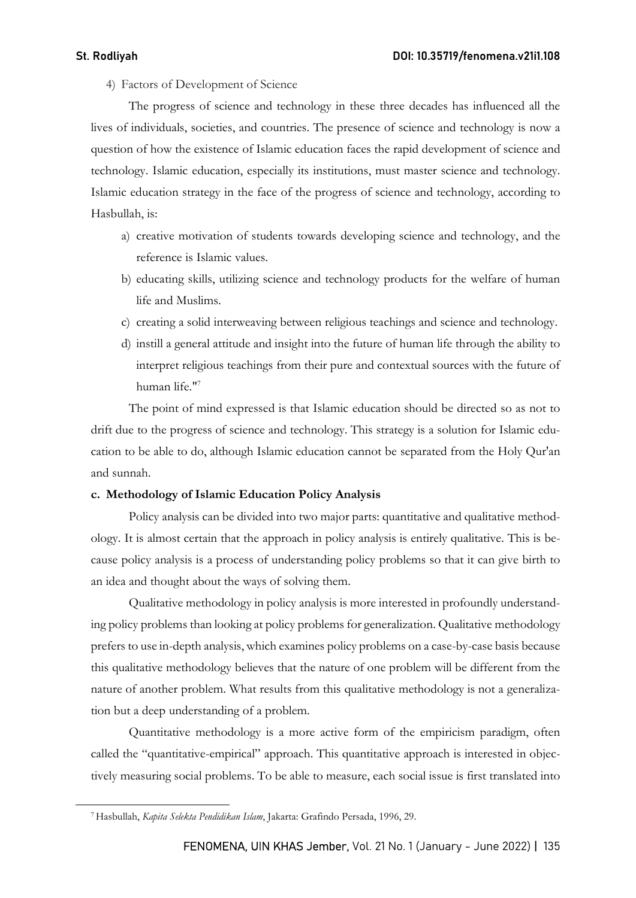4) Factors of Development of Science

The progress of science and technology in these three decades has influenced all the lives of individuals, societies, and countries. The presence of science and technology is now a question of how the existence of Islamic education faces the rapid development of science and technology. Islamic education, especially its institutions, must master science and technology. Islamic education strategy in the face of the progress of science and technology, according to Hasbullah, is:

- a) creative motivation of students towards developing science and technology, and the reference is Islamic values.
- b) educating skills, utilizing science and technology products for the welfare of human life and Muslims.
- c) creating a solid interweaving between religious teachings and science and technology.
- d) instill a general attitude and insight into the future of human life through the ability to interpret religious teachings from their pure and contextual sources with the future of human life."<sup>7</sup>

The point of mind expressed is that Islamic education should be directed so as not to drift due to the progress of science and technology. This strategy is a solution for Islamic education to be able to do, although Islamic education cannot be separated from the Holy Qur'an and sunnah.

### c. Methodology of Islamic Education Policy Analysis

Policy analysis can be divided into two major parts: quantitative and qualitative methodology. It is almost certain that the approach in policy analysis is entirely qualitative. This is because policy analysis is a process of understanding policy problems so that it can give birth to an idea and thought about the ways of solving them.

Qualitative methodology in policy analysis is more interested in profoundly understanding policy problems than looking at policy problems for generalization. Qualitative methodology prefers to use in-depth analysis, which examines policy problems on a case-by-case basis because this qualitative methodology believes that the nature of one problem will be different from the nature of another problem. What results from this qualitative methodology is not a generalization but a deep understanding of a problem.

Quantitative methodology is a more active form of the empiricism paradigm, often called the "quantitative-empirical" approach. This quantitative approach is interested in objectively measuring social problems. To be able to measure, each social issue is first translated into

<sup>7</sup> Hasbullah, Kapita Selekta Pendidikan Islam, Jakarta: Grafindo Persada, 1996, 29.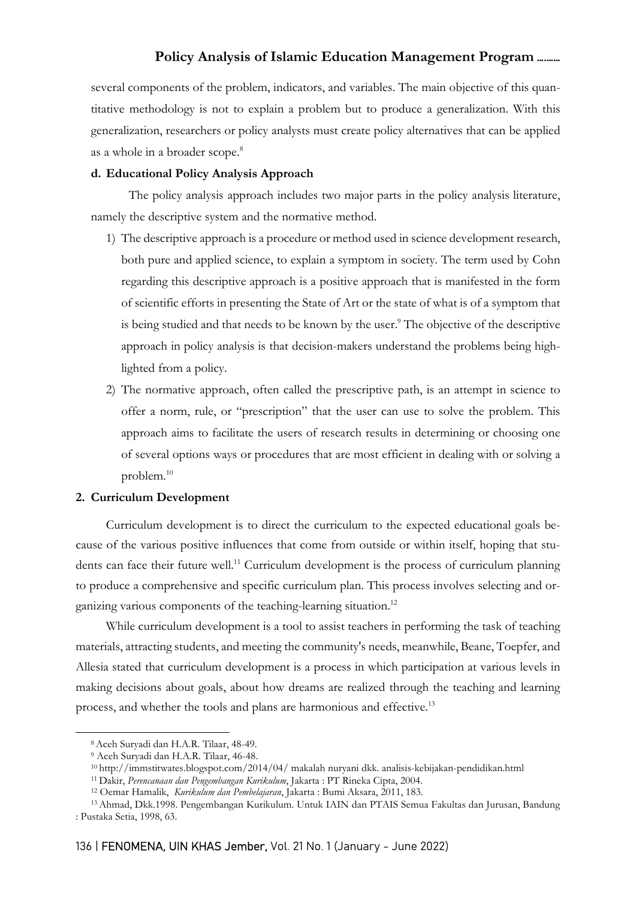several components of the problem, indicators, and variables. The main objective of this quantitative methodology is not to explain a problem but to produce a generalization. With this generalization, researchers or policy analysts must create policy alternatives that can be applied as a whole in a broader scope.<sup>8</sup>

### d. Educational Policy Analysis Approach

The policy analysis approach includes two major parts in the policy analysis literature, namely the descriptive system and the normative method.

- 1) The descriptive approach is a procedure or method used in science development research, both pure and applied science, to explain a symptom in society. The term used by Cohn regarding this descriptive approach is a positive approach that is manifested in the form of scientific efforts in presenting the State of Art or the state of what is of a symptom that is being studied and that needs to be known by the user.<sup>9</sup> The objective of the descriptive approach in policy analysis is that decision-makers understand the problems being highlighted from a policy.
- 2) The normative approach, often called the prescriptive path, is an attempt in science to offer a norm, rule, or "prescription" that the user can use to solve the problem. This approach aims to facilitate the users of research results in determining or choosing one of several options ways or procedures that are most efficient in dealing with or solving a problem.<sup>10</sup>

### 2. Curriculum Development

Curriculum development is to direct the curriculum to the expected educational goals because of the various positive influences that come from outside or within itself, hoping that students can face their future well.<sup>11</sup> Curriculum development is the process of curriculum planning to produce a comprehensive and specific curriculum plan. This process involves selecting and organizing various components of the teaching-learning situation.<sup>12</sup>

While curriculum development is a tool to assist teachers in performing the task of teaching materials, attracting students, and meeting the community's needs, meanwhile, Beane, Toepfer, and Allesia stated that curriculum development is a process in which participation at various levels in making decisions about goals, about how dreams are realized through the teaching and learning process, and whether the tools and plans are harmonious and effective.<sup>13</sup>

<sup>8</sup>Aceh Suryadi dan H.A.R. Tilaar, 48-49.

<sup>9</sup> Aceh Suryadi dan H.A.R. Tilaar, 46-48.

<sup>10</sup>http://immstitwates.blogspot.com/2014/04/ makalah nuryani dkk. analisis-kebijakan-pendidikan.html

<sup>11</sup>Dakir, Perencanaan dan Pengembangan Kurikulum, Jakarta : PT Rineka Cipta, 2004.

<sup>&</sup>lt;sup>12</sup> Oemar Hamalik, Kurikulum dan Pembelajaran, Jakarta : Bumi Aksara, 2011, 183.

<sup>13</sup>Ahmad, Dkk.1998. Pengembangan Kurikulum. Untuk IAIN dan PTAIS Semua Fakultas dan Jurusan, Bandung : Pustaka Setia, 1998, 63.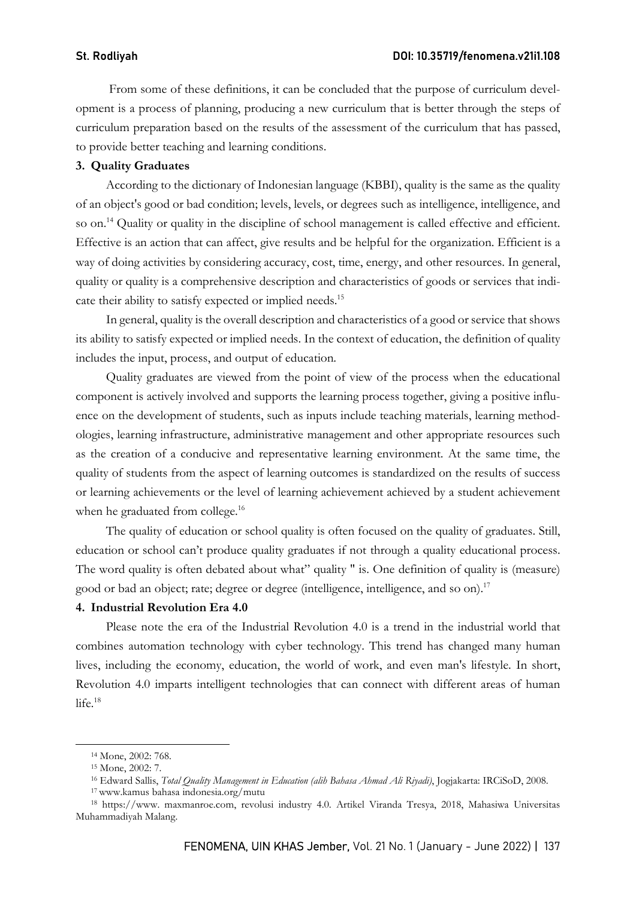From some of these definitions, it can be concluded that the purpose of curriculum development is a process of planning, producing a new curriculum that is better through the steps of curriculum preparation based on the results of the assessment of the curriculum that has passed, to provide better teaching and learning conditions.

### 3. Quality Graduates

According to the dictionary of Indonesian language (KBBI), quality is the same as the quality of an object's good or bad condition; levels, levels, or degrees such as intelligence, intelligence, and so on.<sup>14</sup> Quality or quality in the discipline of school management is called effective and efficient. Effective is an action that can affect, give results and be helpful for the organization. Efficient is a way of doing activities by considering accuracy, cost, time, energy, and other resources. In general, quality or quality is a comprehensive description and characteristics of goods or services that indicate their ability to satisfy expected or implied needs.<sup>15</sup>

In general, quality is the overall description and characteristics of a good or service that shows its ability to satisfy expected or implied needs. In the context of education, the definition of quality includes the input, process, and output of education.

Quality graduates are viewed from the point of view of the process when the educational component is actively involved and supports the learning process together, giving a positive influence on the development of students, such as inputs include teaching materials, learning methodologies, learning infrastructure, administrative management and other appropriate resources such as the creation of a conducive and representative learning environment. At the same time, the quality of students from the aspect of learning outcomes is standardized on the results of success or learning achievements or the level of learning achievement achieved by a student achievement when he graduated from college.<sup>16</sup>

The quality of education or school quality is often focused on the quality of graduates. Still, education or school can't produce quality graduates if not through a quality educational process. The word quality is often debated about what" quality " is. One definition of quality is (measure) good or bad an object; rate; degree or degree (intelligence, intelligence, and so on).<sup>17</sup>

### 4. Industrial Revolution Era 4.0

Please note the era of the Industrial Revolution 4.0 is a trend in the industrial world that combines automation technology with cyber technology. This trend has changed many human lives, including the economy, education, the world of work, and even man's lifestyle. In short, Revolution 4.0 imparts intelligent technologies that can connect with different areas of human  $life.<sup>18</sup>$ 

<sup>14</sup> Mone, 2002: 768.

<sup>15</sup> Mone, 2002: 7.

<sup>&</sup>lt;sup>16</sup> Edward Sallis, Total Quality Management in Education (alih Bahasa Ahmad Ali Riyadi), Jogjakarta: IRCiSoD, 2008.

<sup>17</sup>www.kamus bahasa indonesia.org/mutu

<sup>18</sup> https://www. maxmanroe.com, revolusi industry 4.0. Artikel Viranda Tresya, 2018, Mahasiwa Universitas Muhammadiyah Malang.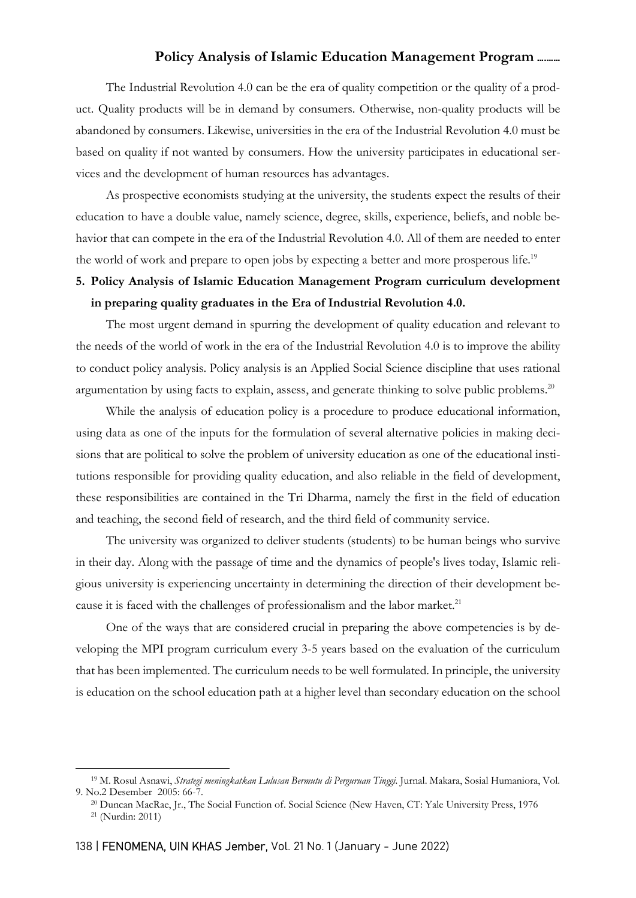The Industrial Revolution 4.0 can be the era of quality competition or the quality of a product. Quality products will be in demand by consumers. Otherwise, non-quality products will be abandoned by consumers. Likewise, universities in the era of the Industrial Revolution 4.0 must be based on quality if not wanted by consumers. How the university participates in educational services and the development of human resources has advantages.

As prospective economists studying at the university, the students expect the results of their education to have a double value, namely science, degree, skills, experience, beliefs, and noble behavior that can compete in the era of the Industrial Revolution 4.0. All of them are needed to enter the world of work and prepare to open jobs by expecting a better and more prosperous life.<sup>19</sup>

# 5. Policy Analysis of Islamic Education Management Program curriculum development in preparing quality graduates in the Era of Industrial Revolution 4.0.

The most urgent demand in spurring the development of quality education and relevant to the needs of the world of work in the era of the Industrial Revolution 4.0 is to improve the ability to conduct policy analysis. Policy analysis is an Applied Social Science discipline that uses rational argumentation by using facts to explain, assess, and generate thinking to solve public problems.<sup>20</sup>

While the analysis of education policy is a procedure to produce educational information, using data as one of the inputs for the formulation of several alternative policies in making decisions that are political to solve the problem of university education as one of the educational institutions responsible for providing quality education, and also reliable in the field of development, these responsibilities are contained in the Tri Dharma, namely the first in the field of education and teaching, the second field of research, and the third field of community service.

The university was organized to deliver students (students) to be human beings who survive in their day. Along with the passage of time and the dynamics of people's lives today, Islamic religious university is experiencing uncertainty in determining the direction of their development because it is faced with the challenges of professionalism and the labor market.<sup>21</sup>

One of the ways that are considered crucial in preparing the above competencies is by developing the MPI program curriculum every 3-5 years based on the evaluation of the curriculum that has been implemented. The curriculum needs to be well formulated. In principle, the university is education on the school education path at a higher level than secondary education on the school

<sup>&</sup>lt;sup>19</sup> M. Rosul Asnawi, Strategi meningkatkan Lulusan Bermutu di Perguruan Tinggi. Jurnal. Makara, Sosial Humaniora, Vol. 9. No.2 Desember 2005: 66-7.

<sup>20</sup> Duncan MacRae, Jr., The Social Function of. Social Science (New Haven, CT: Yale University Press, 1976

<sup>21</sup> (Nurdin: 2011)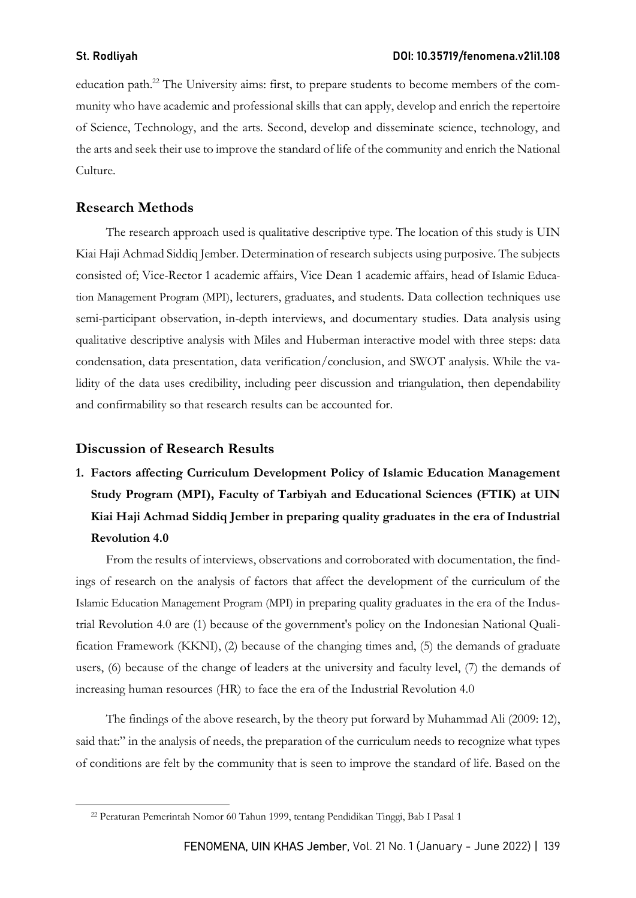education path.22 The University aims: first, to prepare students to become members of the community who have academic and professional skills that can apply, develop and enrich the repertoire of Science, Technology, and the arts. Second, develop and disseminate science, technology, and the arts and seek their use to improve the standard of life of the community and enrich the National Culture.

## Research Methods

The research approach used is qualitative descriptive type. The location of this study is UIN Kiai Haji Achmad Siddiq Jember. Determination of research subjects using purposive. The subjects consisted of; Vice-Rector 1 academic affairs, Vice Dean 1 academic affairs, head of Islamic Education Management Program (MPI), lecturers, graduates, and students. Data collection techniques use semi-participant observation, in-depth interviews, and documentary studies. Data analysis using qualitative descriptive analysis with Miles and Huberman interactive model with three steps: data condensation, data presentation, data verification/conclusion, and SWOT analysis. While the validity of the data uses credibility, including peer discussion and triangulation, then dependability and confirmability so that research results can be accounted for.

## Discussion of Research Results

1. Factors affecting Curriculum Development Policy of Islamic Education Management Study Program (MPI), Faculty of Tarbiyah and Educational Sciences (FTIK) at UIN Kiai Haji Achmad Siddiq Jember in preparing quality graduates in the era of Industrial Revolution 4.0

From the results of interviews, observations and corroborated with documentation, the findings of research on the analysis of factors that affect the development of the curriculum of the Islamic Education Management Program (MPI) in preparing quality graduates in the era of the Industrial Revolution 4.0 are (1) because of the government's policy on the Indonesian National Qualification Framework (KKNI), (2) because of the changing times and, (5) the demands of graduate users, (6) because of the change of leaders at the university and faculty level, (7) the demands of increasing human resources (HR) to face the era of the Industrial Revolution 4.0

The findings of the above research, by the theory put forward by Muhammad Ali (2009: 12), said that:" in the analysis of needs, the preparation of the curriculum needs to recognize what types of conditions are felt by the community that is seen to improve the standard of life. Based on the

<sup>22</sup> Peraturan Pemerintah Nomor 60 Tahun 1999, tentang Pendidikan Tinggi, Bab I Pasal 1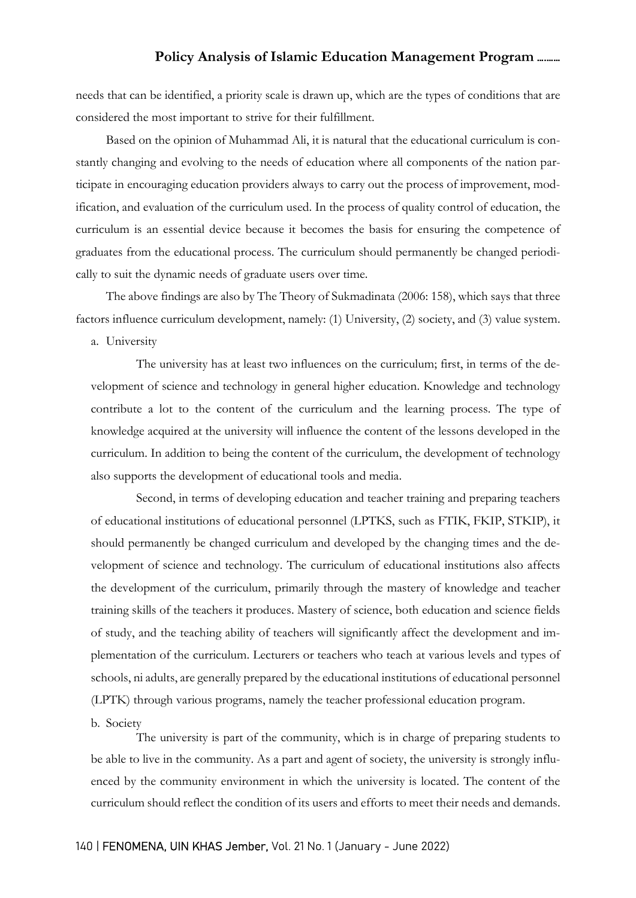needs that can be identified, a priority scale is drawn up, which are the types of conditions that are considered the most important to strive for their fulfillment.

Based on the opinion of Muhammad Ali, it is natural that the educational curriculum is constantly changing and evolving to the needs of education where all components of the nation participate in encouraging education providers always to carry out the process of improvement, modification, and evaluation of the curriculum used. In the process of quality control of education, the curriculum is an essential device because it becomes the basis for ensuring the competence of graduates from the educational process. The curriculum should permanently be changed periodically to suit the dynamic needs of graduate users over time.

The above findings are also by The Theory of Sukmadinata (2006: 158), which says that three factors influence curriculum development, namely: (1) University, (2) society, and (3) value system.

a. University

The university has at least two influences on the curriculum; first, in terms of the development of science and technology in general higher education. Knowledge and technology contribute a lot to the content of the curriculum and the learning process. The type of knowledge acquired at the university will influence the content of the lessons developed in the curriculum. In addition to being the content of the curriculum, the development of technology also supports the development of educational tools and media.

Second, in terms of developing education and teacher training and preparing teachers of educational institutions of educational personnel (LPTKS, such as FTIK, FKIP, STKIP), it should permanently be changed curriculum and developed by the changing times and the development of science and technology. The curriculum of educational institutions also affects the development of the curriculum, primarily through the mastery of knowledge and teacher training skills of the teachers it produces. Mastery of science, both education and science fields of study, and the teaching ability of teachers will significantly affect the development and implementation of the curriculum. Lecturers or teachers who teach at various levels and types of schools, ni adults, are generally prepared by the educational institutions of educational personnel (LPTK) through various programs, namely the teacher professional education program.

### b. Society

The university is part of the community, which is in charge of preparing students to be able to live in the community. As a part and agent of society, the university is strongly influenced by the community environment in which the university is located. The content of the curriculum should reflect the condition of its users and efforts to meet their needs and demands.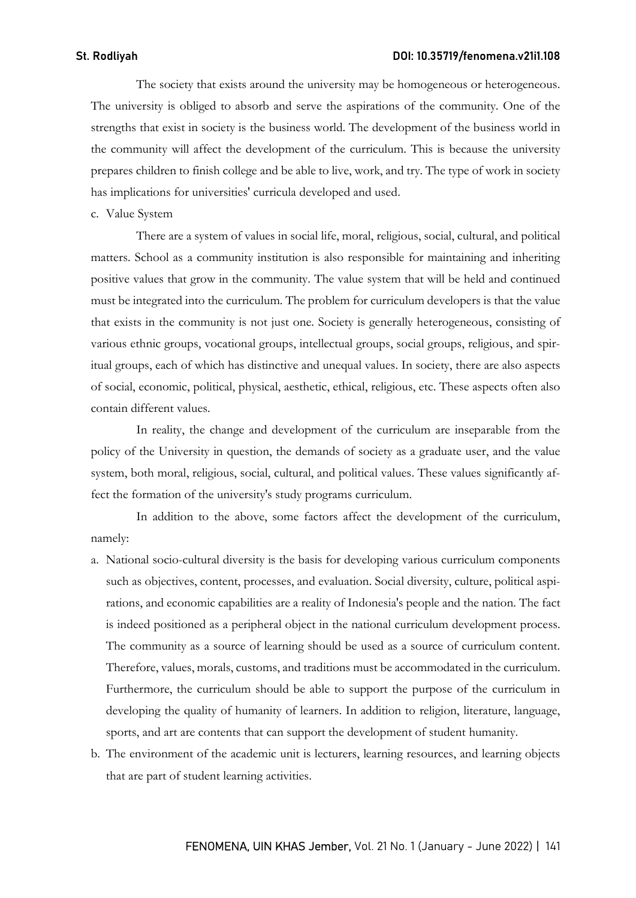The society that exists around the university may be homogeneous or heterogeneous. The university is obliged to absorb and serve the aspirations of the community. One of the strengths that exist in society is the business world. The development of the business world in the community will affect the development of the curriculum. This is because the university prepares children to finish college and be able to live, work, and try. The type of work in society has implications for universities' curricula developed and used.

c. Value System

There are a system of values in social life, moral, religious, social, cultural, and political matters. School as a community institution is also responsible for maintaining and inheriting positive values that grow in the community. The value system that will be held and continued must be integrated into the curriculum. The problem for curriculum developers is that the value that exists in the community is not just one. Society is generally heterogeneous, consisting of various ethnic groups, vocational groups, intellectual groups, social groups, religious, and spiritual groups, each of which has distinctive and unequal values. In society, there are also aspects of social, economic, political, physical, aesthetic, ethical, religious, etc. These aspects often also contain different values.

In reality, the change and development of the curriculum are inseparable from the policy of the University in question, the demands of society as a graduate user, and the value system, both moral, religious, social, cultural, and political values. These values significantly affect the formation of the university's study programs curriculum.

In addition to the above, some factors affect the development of the curriculum, namely:

- a. National socio-cultural diversity is the basis for developing various curriculum components such as objectives, content, processes, and evaluation. Social diversity, culture, political aspirations, and economic capabilities are a reality of Indonesia's people and the nation. The fact is indeed positioned as a peripheral object in the national curriculum development process. The community as a source of learning should be used as a source of curriculum content. Therefore, values, morals, customs, and traditions must be accommodated in the curriculum. Furthermore, the curriculum should be able to support the purpose of the curriculum in developing the quality of humanity of learners. In addition to religion, literature, language, sports, and art are contents that can support the development of student humanity.
- b. The environment of the academic unit is lecturers, learning resources, and learning objects that are part of student learning activities.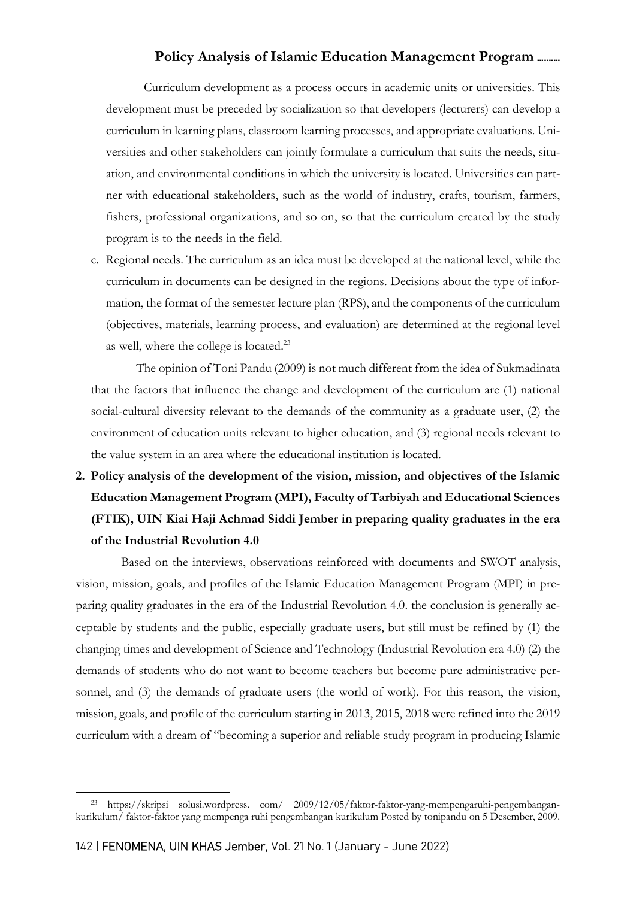Curriculum development as a process occurs in academic units or universities. This development must be preceded by socialization so that developers (lecturers) can develop a curriculum in learning plans, classroom learning processes, and appropriate evaluations. Universities and other stakeholders can jointly formulate a curriculum that suits the needs, situation, and environmental conditions in which the university is located. Universities can partner with educational stakeholders, such as the world of industry, crafts, tourism, farmers, fishers, professional organizations, and so on, so that the curriculum created by the study program is to the needs in the field.

c. Regional needs. The curriculum as an idea must be developed at the national level, while the curriculum in documents can be designed in the regions. Decisions about the type of information, the format of the semester lecture plan (RPS), and the components of the curriculum (objectives, materials, learning process, and evaluation) are determined at the regional level as well, where the college is located.<sup>23</sup>

The opinion of Toni Pandu (2009) is not much different from the idea of Sukmadinata that the factors that influence the change and development of the curriculum are (1) national social-cultural diversity relevant to the demands of the community as a graduate user, (2) the environment of education units relevant to higher education, and (3) regional needs relevant to the value system in an area where the educational institution is located.

2. Policy analysis of the development of the vision, mission, and objectives of the Islamic Education Management Program (MPI), Faculty of Tarbiyah and Educational Sciences (FTIK), UIN Kiai Haji Achmad Siddi Jember in preparing quality graduates in the era of the Industrial Revolution 4.0

Based on the interviews, observations reinforced with documents and SWOT analysis, vision, mission, goals, and profiles of the Islamic Education Management Program (MPI) in preparing quality graduates in the era of the Industrial Revolution 4.0. the conclusion is generally acceptable by students and the public, especially graduate users, but still must be refined by (1) the changing times and development of Science and Technology (Industrial Revolution era 4.0) (2) the demands of students who do not want to become teachers but become pure administrative personnel, and (3) the demands of graduate users (the world of work). For this reason, the vision, mission, goals, and profile of the curriculum starting in 2013, 2015, 2018 were refined into the 2019 curriculum with a dream of "becoming a superior and reliable study program in producing Islamic

<sup>23</sup> https://skripsi solusi.wordpress. com/ 2009/12/05/faktor-faktor-yang-mempengaruhi-pengembangankurikulum/ faktor-faktor yang mempenga ruhi pengembangan kurikulum Posted by tonipandu on 5 Desember, 2009.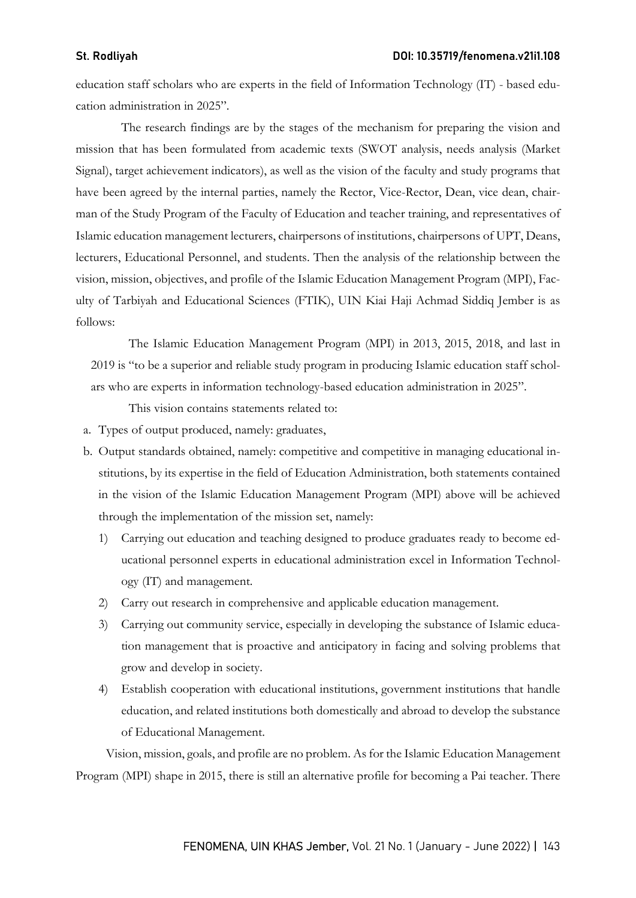education staff scholars who are experts in the field of Information Technology (IT) - based education administration in 2025".

The research findings are by the stages of the mechanism for preparing the vision and mission that has been formulated from academic texts (SWOT analysis, needs analysis (Market Signal), target achievement indicators), as well as the vision of the faculty and study programs that have been agreed by the internal parties, namely the Rector, Vice-Rector, Dean, vice dean, chairman of the Study Program of the Faculty of Education and teacher training, and representatives of Islamic education management lecturers, chairpersons of institutions, chairpersons of UPT, Deans, lecturers, Educational Personnel, and students. Then the analysis of the relationship between the vision, mission, objectives, and profile of the Islamic Education Management Program (MPI), Faculty of Tarbiyah and Educational Sciences (FTIK), UIN Kiai Haji Achmad Siddiq Jember is as follows:

The Islamic Education Management Program (MPI) in 2013, 2015, 2018, and last in 2019 is "to be a superior and reliable study program in producing Islamic education staff scholars who are experts in information technology-based education administration in 2025".

This vision contains statements related to:

a. Types of output produced, namely: graduates,

- b. Output standards obtained, namely: competitive and competitive in managing educational institutions, by its expertise in the field of Education Administration, both statements contained in the vision of the Islamic Education Management Program (MPI) above will be achieved through the implementation of the mission set, namely:
	- 1) Carrying out education and teaching designed to produce graduates ready to become educational personnel experts in educational administration excel in Information Technology (IT) and management.
	- 2) Carry out research in comprehensive and applicable education management.
	- 3) Carrying out community service, especially in developing the substance of Islamic education management that is proactive and anticipatory in facing and solving problems that grow and develop in society.
	- 4) Establish cooperation with educational institutions, government institutions that handle education, and related institutions both domestically and abroad to develop the substance of Educational Management.

Vision, mission, goals, and profile are no problem. As for the Islamic Education Management Program (MPI) shape in 2015, there is still an alternative profile for becoming a Pai teacher. There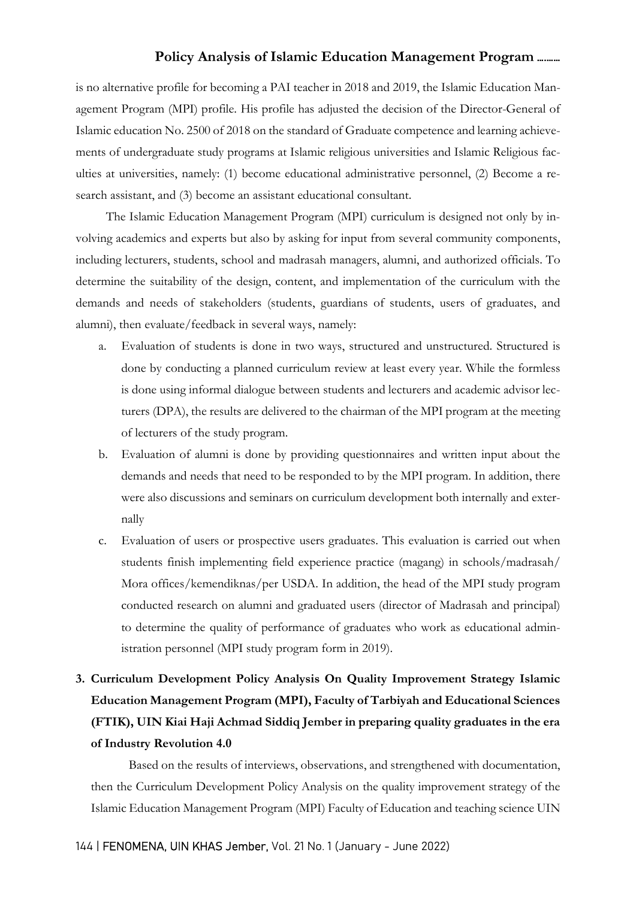is no alternative profile for becoming a PAI teacher in 2018 and 2019, the Islamic Education Management Program (MPI) profile. His profile has adjusted the decision of the Director-General of Islamic education No. 2500 of 2018 on the standard of Graduate competence and learning achievements of undergraduate study programs at Islamic religious universities and Islamic Religious faculties at universities, namely: (1) become educational administrative personnel, (2) Become a research assistant, and (3) become an assistant educational consultant.

The Islamic Education Management Program (MPI) curriculum is designed not only by involving academics and experts but also by asking for input from several community components, including lecturers, students, school and madrasah managers, alumni, and authorized officials. To determine the suitability of the design, content, and implementation of the curriculum with the demands and needs of stakeholders (students, guardians of students, users of graduates, and alumni), then evaluate/feedback in several ways, namely:

- a. Evaluation of students is done in two ways, structured and unstructured. Structured is done by conducting a planned curriculum review at least every year. While the formless is done using informal dialogue between students and lecturers and academic advisor lecturers (DPA), the results are delivered to the chairman of the MPI program at the meeting of lecturers of the study program.
- b. Evaluation of alumni is done by providing questionnaires and written input about the demands and needs that need to be responded to by the MPI program. In addition, there were also discussions and seminars on curriculum development both internally and externally
- c. Evaluation of users or prospective users graduates. This evaluation is carried out when students finish implementing field experience practice (magang) in schools/madrasah/ Mora offices/kemendiknas/per USDA. In addition, the head of the MPI study program conducted research on alumni and graduated users (director of Madrasah and principal) to determine the quality of performance of graduates who work as educational administration personnel (MPI study program form in 2019).
- 3. Curriculum Development Policy Analysis On Quality Improvement Strategy Islamic Education Management Program (MPI), Faculty of Tarbiyah and Educational Sciences (FTIK), UIN Kiai Haji Achmad Siddiq Jember in preparing quality graduates in the era of Industry Revolution 4.0

Based on the results of interviews, observations, and strengthened with documentation, then the Curriculum Development Policy Analysis on the quality improvement strategy of the Islamic Education Management Program (MPI) Faculty of Education and teaching science UIN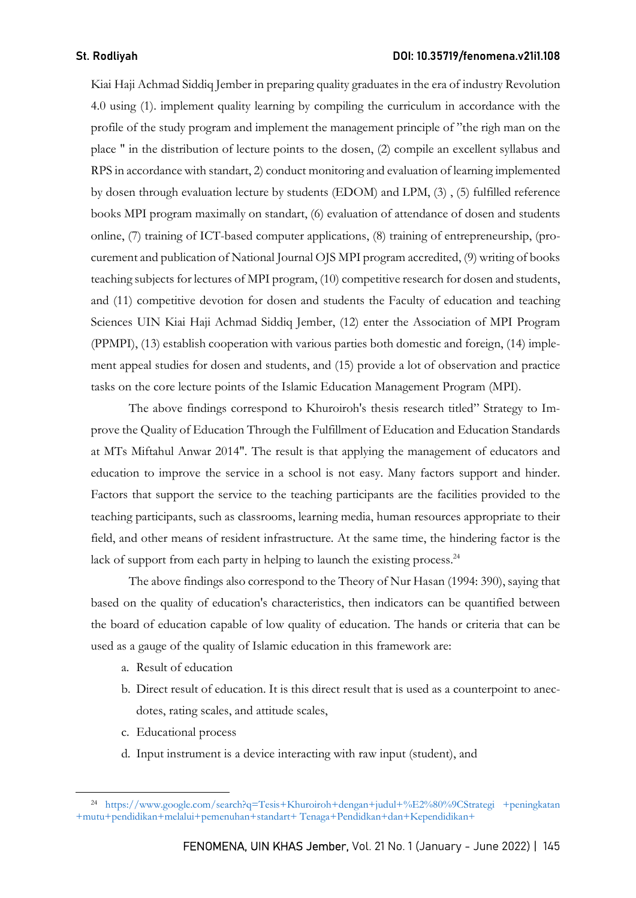Kiai Haji Achmad Siddiq Jember in preparing quality graduates in the era of industry Revolution 4.0 using (1). implement quality learning by compiling the curriculum in accordance with the profile of the study program and implement the management principle of "the righ man on the place " in the distribution of lecture points to the dosen, (2) compile an excellent syllabus and RPS in accordance with standart, 2) conduct monitoring and evaluation of learning implemented by dosen through evaluation lecture by students (EDOM) and LPM, (3) , (5) fulfilled reference books MPI program maximally on standart, (6) evaluation of attendance of dosen and students online, (7) training of ICT-based computer applications, (8) training of entrepreneurship, (procurement and publication of National Journal OJS MPI program accredited, (9) writing of books teaching subjects for lectures of MPI program, (10) competitive research for dosen and students, and (11) competitive devotion for dosen and students the Faculty of education and teaching Sciences UIN Kiai Haji Achmad Siddiq Jember, (12) enter the Association of MPI Program (PPMPI), (13) establish cooperation with various parties both domestic and foreign, (14) implement appeal studies for dosen and students, and (15) provide a lot of observation and practice tasks on the core lecture points of the Islamic Education Management Program (MPI).

The above findings correspond to Khuroiroh's thesis research titled" Strategy to Improve the Quality of Education Through the Fulfillment of Education and Education Standards at MTs Miftahul Anwar 2014". The result is that applying the management of educators and education to improve the service in a school is not easy. Many factors support and hinder. Factors that support the service to the teaching participants are the facilities provided to the teaching participants, such as classrooms, learning media, human resources appropriate to their field, and other means of resident infrastructure. At the same time, the hindering factor is the lack of support from each party in helping to launch the existing process.<sup>24</sup>

The above findings also correspond to the Theory of Nur Hasan (1994: 390), saying that based on the quality of education's characteristics, then indicators can be quantified between the board of education capable of low quality of education. The hands or criteria that can be used as a gauge of the quality of Islamic education in this framework are:

- a. Result of education
- b. Direct result of education. It is this direct result that is used as a counterpoint to anecdotes, rating scales, and attitude scales,
- c. Educational process
- d. Input instrument is a device interacting with raw input (student), and

<sup>24</sup> https://www.google.com/search?q=Tesis+Khuroiroh+dengan+judul+%E2%80%9CStrategi +peningkatan +mutu+pendidikan+melalui+pemenuhan+standart+ Tenaga+Pendidkan+dan+Kependidikan+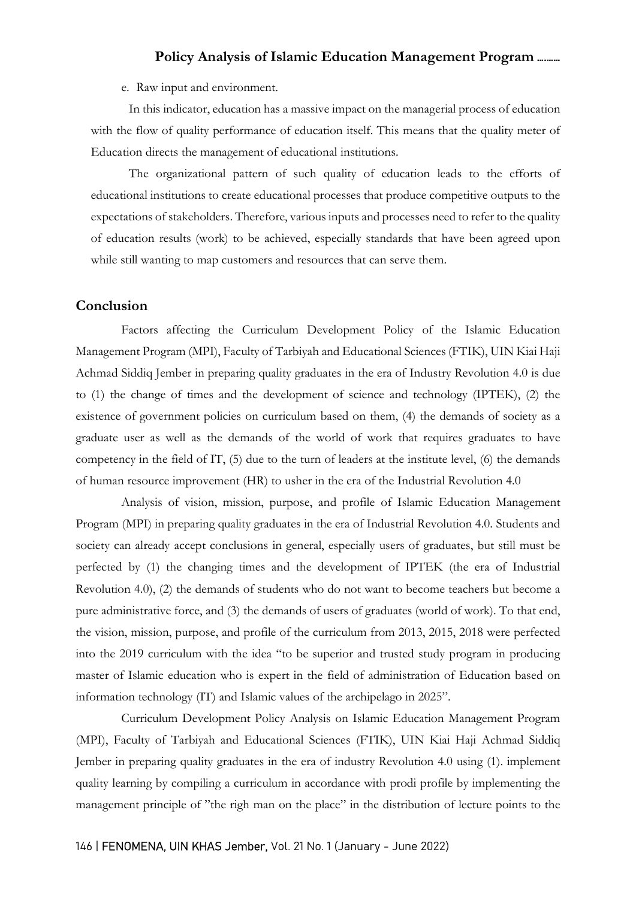e. Raw input and environment.

In this indicator, education has a massive impact on the managerial process of education with the flow of quality performance of education itself. This means that the quality meter of Education directs the management of educational institutions.

The organizational pattern of such quality of education leads to the efforts of educational institutions to create educational processes that produce competitive outputs to the expectations of stakeholders. Therefore, various inputs and processes need to refer to the quality of education results (work) to be achieved, especially standards that have been agreed upon while still wanting to map customers and resources that can serve them.

### Conclusion

Factors affecting the Curriculum Development Policy of the Islamic Education Management Program (MPI), Faculty of Tarbiyah and Educational Sciences (FTIK), UIN Kiai Haji Achmad Siddiq Jember in preparing quality graduates in the era of Industry Revolution 4.0 is due to (1) the change of times and the development of science and technology (IPTEK), (2) the existence of government policies on curriculum based on them, (4) the demands of society as a graduate user as well as the demands of the world of work that requires graduates to have competency in the field of IT, (5) due to the turn of leaders at the institute level, (6) the demands of human resource improvement (HR) to usher in the era of the Industrial Revolution 4.0

Analysis of vision, mission, purpose, and profile of Islamic Education Management Program (MPI) in preparing quality graduates in the era of Industrial Revolution 4.0. Students and society can already accept conclusions in general, especially users of graduates, but still must be perfected by (1) the changing times and the development of IPTEK (the era of Industrial Revolution 4.0), (2) the demands of students who do not want to become teachers but become a pure administrative force, and (3) the demands of users of graduates (world of work). To that end, the vision, mission, purpose, and profile of the curriculum from 2013, 2015, 2018 were perfected into the 2019 curriculum with the idea "to be superior and trusted study program in producing master of Islamic education who is expert in the field of administration of Education based on information technology (IT) and Islamic values of the archipelago in 2025".

Curriculum Development Policy Analysis on Islamic Education Management Program (MPI), Faculty of Tarbiyah and Educational Sciences (FTIK), UIN Kiai Haji Achmad Siddiq Jember in preparing quality graduates in the era of industry Revolution 4.0 using (1). implement quality learning by compiling a curriculum in accordance with prodi profile by implementing the management principle of "the righ man on the place" in the distribution of lecture points to the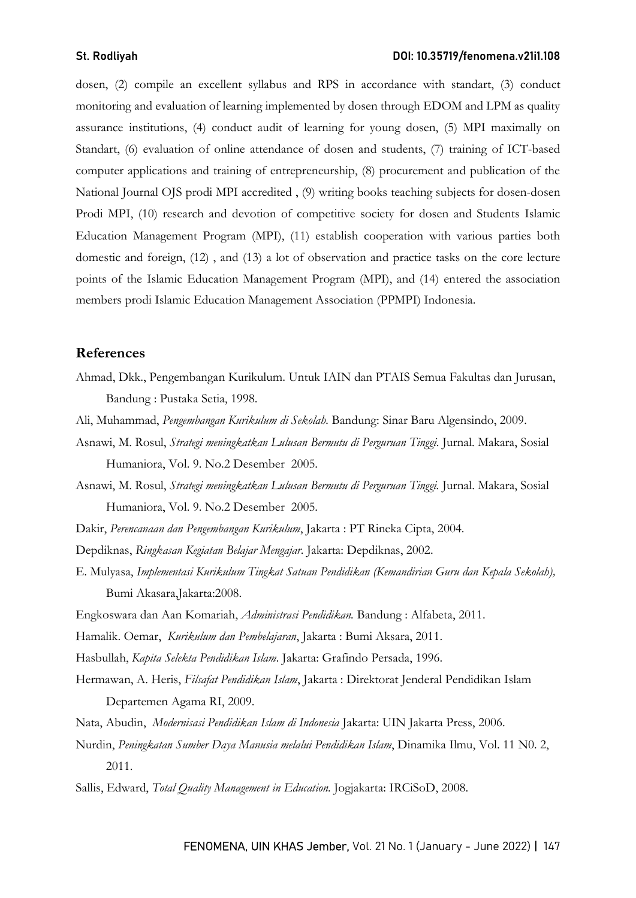dosen, (2) compile an excellent syllabus and RPS in accordance with standart, (3) conduct monitoring and evaluation of learning implemented by dosen through EDOM and LPM as quality assurance institutions, (4) conduct audit of learning for young dosen, (5) MPI maximally on Standart, (6) evaluation of online attendance of dosen and students, (7) training of ICT-based computer applications and training of entrepreneurship, (8) procurement and publication of the National Journal OJS prodi MPI accredited , (9) writing books teaching subjects for dosen-dosen Prodi MPI, (10) research and devotion of competitive society for dosen and Students Islamic Education Management Program (MPI), (11) establish cooperation with various parties both domestic and foreign, (12) , and (13) a lot of observation and practice tasks on the core lecture points of the Islamic Education Management Program (MPI), and (14) entered the association members prodi Islamic Education Management Association (PPMPI) Indonesia.

### References

- Ahmad, Dkk., Pengembangan Kurikulum. Untuk IAIN dan PTAIS Semua Fakultas dan Jurusan, Bandung : Pustaka Setia, 1998.
- Ali, Muhammad, Pengembangan Kurikulum di Sekolah. Bandung: Sinar Baru Algensindo, 2009.
- Asnawi, M. Rosul, Strategi meningkatkan Lulusan Bermutu di Perguruan Tinggi. Jurnal. Makara, Sosial Humaniora, Vol. 9. No.2 Desember 2005.
- Asnawi, M. Rosul, Strategi meningkatkan Lulusan Bermutu di Perguruan Tinggi. Jurnal. Makara, Sosial Humaniora, Vol. 9. No.2 Desember 2005.
- Dakir, Perencanaan dan Pengembangan Kurikulum, Jakarta : PT Rineka Cipta, 2004.
- Depdiknas, Ringkasan Kegiatan Belajar Mengajar. Jakarta: Depdiknas, 2002.
- E. Mulyasa, Implementasi Kurikulum Tingkat Satuan Pendidikan (Kemandirian Guru dan Kepala Sekolah), Bumi Akasara,Jakarta:2008.
- Engkoswara dan Aan Komariah, Administrasi Pendidikan. Bandung : Alfabeta, 2011.
- Hamalik. Oemar, Kurikulum dan Pembelajaran, Jakarta : Bumi Aksara, 2011.
- Hasbullah, Kapita Selekta Pendidikan Islam. Jakarta: Grafindo Persada, 1996.
- Hermawan, A. Heris, Filsafat Pendidikan Islam, Jakarta : Direktorat Jenderal Pendidikan Islam Departemen Agama RI, 2009.
- Nata, Abudin, Modernisasi Pendidikan Islam di Indonesia Jakarta: UIN Jakarta Press, 2006.
- Nurdin, Peningkatan Sumber Daya Manusia melalui Pendidikan Islam, Dinamika Ilmu, Vol. 11 N0. 2, 2011.
- Sallis, Edward, Total Quality Management in Education. Jogjakarta: IRCiSoD, 2008.